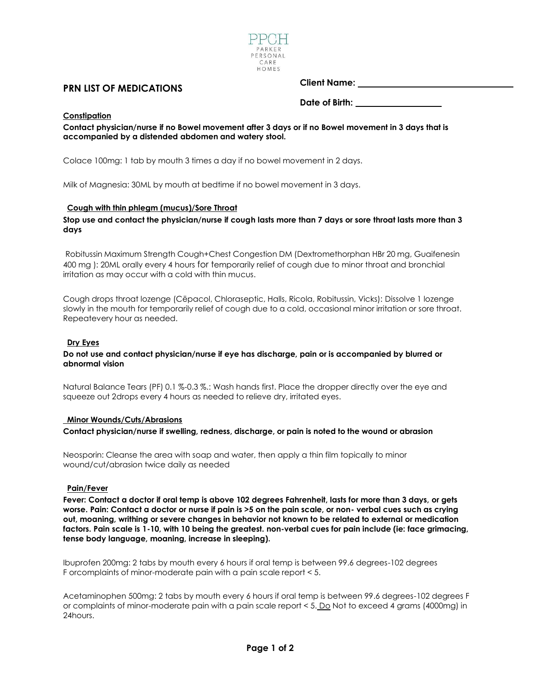

# **PRN LIST OF MEDICATIONS**

## **Client Name:**

**Date of Birth:**

## **Constipation**

**Contact physician/nurse if no Bowel movement after 3 days or if no Bowel movement in 3 days that is accompanied by a distended abdomen and watery stool.**

Colace 100mg: 1 tab by mouth 3 times a day if no bowel movement in 2 days.

Milk of Magnesia: 30ML by mouth at bedtime if no bowel movement in 3 days.

### **Cough with thin phlegm (mucus)/Sore Throat**

**Stop use and contact the physician/nurse if cough lasts more than 7 days or sore throat lasts more than 3 days**

Robitussin Maximum Strength Cough+Chest Congestion DM (Dextromethorphan HBr 20 mg, Guaifenesin 400 mg ): 20ML orally every 4 hours for temporarily relief of cough due to minor throat and bronchial irritation as may occur with a cold with thin mucus.

Cough drops throat lozenge (Cēpacol, Chloraseptic, Halls, Ricola, Robitussin, Vicks): Dissolve 1 lozenge slowly in the mouth for temporarily relief of cough due to a cold, occasional minor irritation or sore throat. Repeatevery hour as needed.

### **Dry Eyes**

### **Do not use and contact physician/nurse if eye has discharge, pain or is accompanied by blurred or abnormal vision**

Natural Balance Tears (PF) 0.1 %-0.3 %.: Wash hands first. Place the dropper directly over the eye and squeeze out 2drops every 4 hours as needed to relieve dry, irritated eyes.

#### **Minor Wounds/Cuts/Abrasions**

**Contact physician/nurse if swelling, redness, discharge, or pain is noted to the wound or abrasion**

Neosporin: Cleanse the area with soap and water, then apply a thin film topically to minor wound/cut/abrasion twice daily as needed

#### **Pain/Fever**

**Fever: Contact a doctor if oral temp is above 102 degrees Fahrenheit, lasts for more than 3 days, or gets worse. Pain: Contact a doctor or nurse if pain is >5 on the pain scale, or non- verbal cues such as crying out, moaning, writhing or severe changes in behavior not known to be related to external or medication factors. Pain scale is 1-10, with 10 being the greatest. non-verbal cues for pain include (ie: face grimacing, tense body language, moaning, increase in sleeping).**

Ibuprofen 200mg: 2 tabs by mouth every 6 hours if oral temp is between 99.6 degrees-102 degrees F orcomplaints of minor-moderate pain with a pain scale report < 5.

Acetaminophen 500mg: 2 tabs by mouth every 6 hours if oral temp is between 99.6 degrees-102 degrees F or complaints of minor-moderate pain with a pain scale report < 5. Do Not to exceed 4 grams (4000mg) in 24hours.